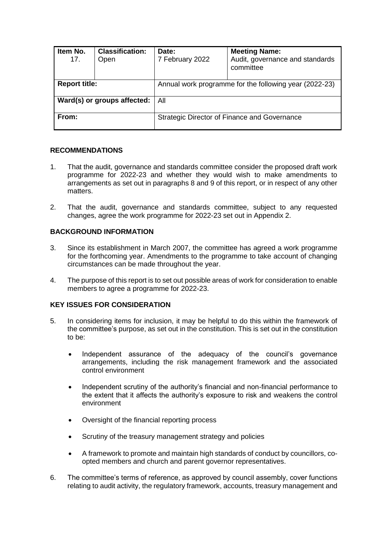| Item No.<br>17.             | <b>Classification:</b><br>Open | Date:<br>7 February 2022                               | <b>Meeting Name:</b><br>Audit, governance and standards<br>committee |  |  |  |
|-----------------------------|--------------------------------|--------------------------------------------------------|----------------------------------------------------------------------|--|--|--|
| <b>Report title:</b>        |                                | Annual work programme for the following year (2022-23) |                                                                      |  |  |  |
| Ward(s) or groups affected: |                                | All                                                    |                                                                      |  |  |  |
| From:                       |                                | Strategic Director of Finance and Governance           |                                                                      |  |  |  |

# **RECOMMENDATIONS**

- 1. That the audit, governance and standards committee consider the proposed draft work programme for 2022-23 and whether they would wish to make amendments to arrangements as set out in paragraphs 8 and 9 of this report, or in respect of any other matters.
- 2. That the audit, governance and standards committee, subject to any requested changes, agree the work programme for 2022-23 set out in Appendix 2.

# **BACKGROUND INFORMATION**

- 3. Since its establishment in March 2007, the committee has agreed a work programme for the forthcoming year. Amendments to the programme to take account of changing circumstances can be made throughout the year.
- 4. The purpose of this report is to set out possible areas of work for consideration to enable members to agree a programme for 2022-23.

# **KEY ISSUES FOR CONSIDERATION**

- 5. In considering items for inclusion, it may be helpful to do this within the framework of the committee's purpose, as set out in the constitution. This is set out in the constitution to be:
	- Independent assurance of the adequacy of the council's governance arrangements, including the risk management framework and the associated control environment
	- Independent scrutiny of the authority's financial and non-financial performance to the extent that it affects the authority's exposure to risk and weakens the control environment
	- Oversight of the financial reporting process
	- Scrutiny of the treasury management strategy and policies
	- A framework to promote and maintain high standards of conduct by councillors, coopted members and church and parent governor representatives.
- 6. The committee's terms of reference, as approved by council assembly, cover functions relating to audit activity, the regulatory framework, accounts, treasury management and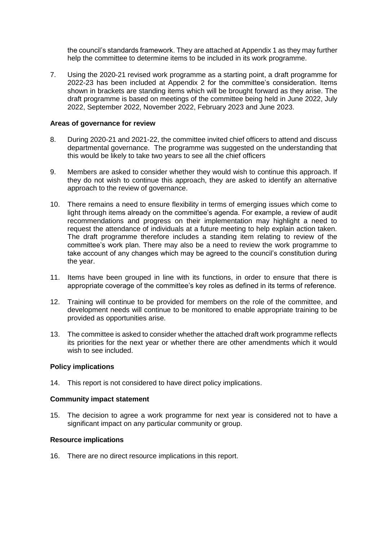the council's standards framework. They are attached at Appendix 1 as they may further help the committee to determine items to be included in its work programme.

7. Using the 2020-21 revised work programme as a starting point, a draft programme for 2022-23 has been included at Appendix 2 for the committee's consideration. Items shown in brackets are standing items which will be brought forward as they arise. The draft programme is based on meetings of the committee being held in June 2022, July 2022, September 2022, November 2022, February 2023 and June 2023.

## **Areas of governance for review**

- 8. During 2020-21 and 2021-22, the committee invited chief officers to attend and discuss departmental governance. The programme was suggested on the understanding that this would be likely to take two years to see all the chief officers
- 9. Members are asked to consider whether they would wish to continue this approach. If they do not wish to continue this approach, they are asked to identify an alternative approach to the review of governance.
- 10. There remains a need to ensure flexibility in terms of emerging issues which come to light through items already on the committee's agenda. For example, a review of audit recommendations and progress on their implementation may highlight a need to request the attendance of individuals at a future meeting to help explain action taken. The draft programme therefore includes a standing item relating to review of the committee's work plan. There may also be a need to review the work programme to take account of any changes which may be agreed to the council's constitution during the year.
- 11. Items have been grouped in line with its functions, in order to ensure that there is appropriate coverage of the committee's key roles as defined in its terms of reference.
- 12. Training will continue to be provided for members on the role of the committee, and development needs will continue to be monitored to enable appropriate training to be provided as opportunities arise.
- 13. The committee is asked to consider whether the attached draft work programme reflects its priorities for the next year or whether there are other amendments which it would wish to see included.

#### **Policy implications**

14. This report is not considered to have direct policy implications.

#### **Community impact statement**

15. The decision to agree a work programme for next year is considered not to have a significant impact on any particular community or group.

# **Resource implications**

16. There are no direct resource implications in this report.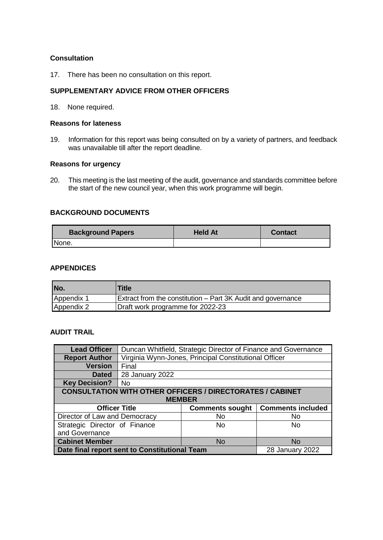# **Consultation**

17. There has been no consultation on this report.

# **SUPPLEMENTARY ADVICE FROM OTHER OFFICERS**

18. None required.

# **Reasons for lateness**

19. Information for this report was being consulted on by a variety of partners, and feedback was unavailable till after the report deadline.

## **Reasons for urgency**

20. This meeting is the last meeting of the audit, governance and standards committee before the start of the new council year, when this work programme will begin.

# **BACKGROUND DOCUMENTS**

| <b>Background Papers</b> | <b>Held At</b> | <b>Contact</b> |
|--------------------------|----------------|----------------|
| INone.                   |                |                |

#### **APPENDICES**

| No.        | Title                                                        |
|------------|--------------------------------------------------------------|
| Appendix 1 | Extract from the constitution – Part 3K Audit and governance |
| Appendix 2 | Draft work programme for 2022-23                             |

## **AUDIT TRAIL**

| <b>Lead Officer</b>                                                        | Duncan Whitfield, Strategic Director of Finance and Governance |           |           |  |  |  |  |  |  |
|----------------------------------------------------------------------------|----------------------------------------------------------------|-----------|-----------|--|--|--|--|--|--|
| <b>Report Author</b>                                                       | Virginia Wynn-Jones, Principal Constitutional Officer          |           |           |  |  |  |  |  |  |
| <b>Version</b>                                                             | Final                                                          |           |           |  |  |  |  |  |  |
| <b>Dated</b>                                                               | 28 January 2022                                                |           |           |  |  |  |  |  |  |
| <b>Key Decision?</b>                                                       | <b>No</b>                                                      |           |           |  |  |  |  |  |  |
| <b>CONSULTATION WITH OTHER OFFICERS / DIRECTORATES / CABINET</b>           |                                                                |           |           |  |  |  |  |  |  |
| <b>MEMBER</b>                                                              |                                                                |           |           |  |  |  |  |  |  |
| <b>Comments included</b><br><b>Officer Title</b><br><b>Comments sought</b> |                                                                |           |           |  |  |  |  |  |  |
|                                                                            |                                                                |           |           |  |  |  |  |  |  |
| Director of Law and Democracy                                              |                                                                | <b>No</b> | No.       |  |  |  |  |  |  |
| Strategic Director of Finance                                              |                                                                | No        | No        |  |  |  |  |  |  |
| and Governance                                                             |                                                                |           |           |  |  |  |  |  |  |
| <b>Cabinet Member</b>                                                      |                                                                | <b>No</b> | <b>No</b> |  |  |  |  |  |  |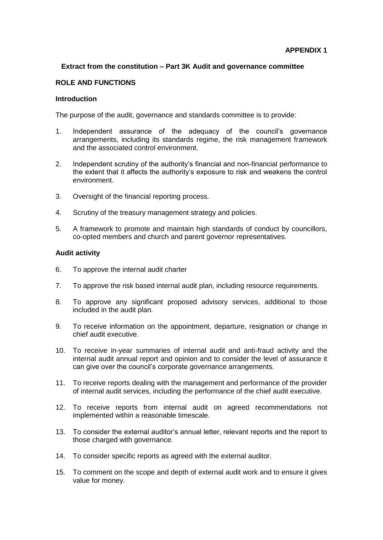# **Extract from the constitution – Part 3K Audit and governance committee**

## **ROLE AND FUNCTIONS**

#### **Introduction**

The purpose of the audit, governance and standards committee is to provide:

- 1. Independent assurance of the adequacy of the council's governance arrangements, including its standards regime, the risk management framework and the associated control environment.
- 2. Independent scrutiny of the authority's financial and non-financial performance to the extent that it affects the authority's exposure to risk and weakens the control environment.
- 3. Oversight of the financial reporting process.
- 4. Scrutiny of the treasury management strategy and policies.
- 5. A framework to promote and maintain high standards of conduct by councillors, co-opted members and church and parent governor representatives.

#### **Audit activity**

- 6. To approve the internal audit charter
- 7. To approve the risk based internal audit plan, including resource requirements.
- 8. To approve any significant proposed advisory services, additional to those included in the audit plan.
- 9. To receive information on the appointment, departure, resignation or change in chief audit executive.
- 10. To receive in-year summaries of internal audit and anti-fraud activity and the internal audit annual report and opinion and to consider the level of assurance it can give over the council's corporate governance arrangements.
- 11. To receive reports dealing with the management and performance of the provider of internal audit services, including the performance of the chief audit executive.
- 12. To receive reports from internal audit on agreed recommendations not implemented within a reasonable timescale.
- 13. To consider the external auditor's annual letter, relevant reports and the report to those charged with governance.
- 14. To consider specific reports as agreed with the external auditor.
- 15. To comment on the scope and depth of external audit work and to ensure it gives value for money.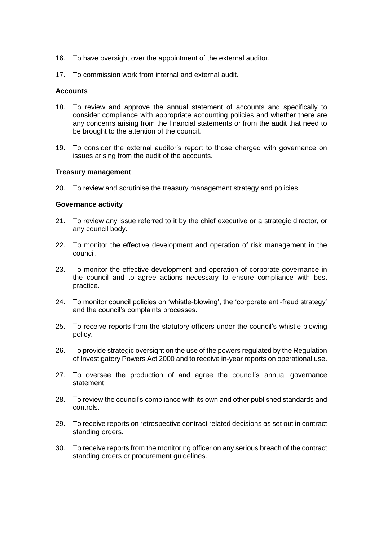- 16. To have oversight over the appointment of the external auditor.
- 17. To commission work from internal and external audit.

#### **Accounts**

- 18. To review and approve the annual statement of accounts and specifically to consider compliance with appropriate accounting policies and whether there are any concerns arising from the financial statements or from the audit that need to be brought to the attention of the council.
- 19. To consider the external auditor's report to those charged with governance on issues arising from the audit of the accounts.

#### **Treasury management**

20. To review and scrutinise the treasury management strategy and policies.

## **Governance activity**

- 21. To review any issue referred to it by the chief executive or a strategic director, or any council body.
- 22. To monitor the effective development and operation of risk management in the council.
- 23. To monitor the effective development and operation of corporate governance in the council and to agree actions necessary to ensure compliance with best practice.
- 24. To monitor council policies on 'whistle-blowing', the 'corporate anti-fraud strategy' and the council's complaints processes.
- 25. To receive reports from the statutory officers under the council's whistle blowing policy.
- 26. To provide strategic oversight on the use of the powers regulated by the Regulation of Investigatory Powers Act 2000 and to receive in-year reports on operational use.
- 27. To oversee the production of and agree the council's annual governance statement.
- 28. To review the council's compliance with its own and other published standards and controls.
- 29. To receive reports on retrospective contract related decisions as set out in contract standing orders.
- 30. To receive reports from the monitoring officer on any serious breach of the contract standing orders or procurement guidelines.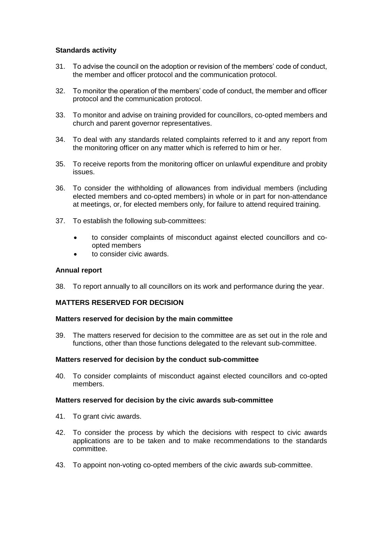# **Standards activity**

- 31. To advise the council on the adoption or revision of the members' code of conduct, the member and officer protocol and the communication protocol.
- 32. To monitor the operation of the members' code of conduct, the member and officer protocol and the communication protocol.
- 33. To monitor and advise on training provided for councillors, co-opted members and church and parent governor representatives.
- 34. To deal with any standards related complaints referred to it and any report from the monitoring officer on any matter which is referred to him or her.
- 35. To receive reports from the monitoring officer on unlawful expenditure and probity issues.
- 36. To consider the withholding of allowances from individual members (including elected members and co-opted members) in whole or in part for non-attendance at meetings, or, for elected members only, for failure to attend required training.
- 37. To establish the following sub-committees:
	- to consider complaints of misconduct against elected councillors and coopted members
	- **to consider civic awards.**

#### **Annual report**

38. To report annually to all councillors on its work and performance during the year.

# **MATTERS RESERVED FOR DECISION**

#### **Matters reserved for decision by the main committee**

39. The matters reserved for decision to the committee are as set out in the role and functions, other than those functions delegated to the relevant sub-committee.

#### **Matters reserved for decision by the conduct sub-committee**

40. To consider complaints of misconduct against elected councillors and co-opted members.

#### **Matters reserved for decision by the civic awards sub-committee**

- 41. To grant civic awards.
- 42. To consider the process by which the decisions with respect to civic awards applications are to be taken and to make recommendations to the standards committee.
- 43. To appoint non-voting co-opted members of the civic awards sub-committee.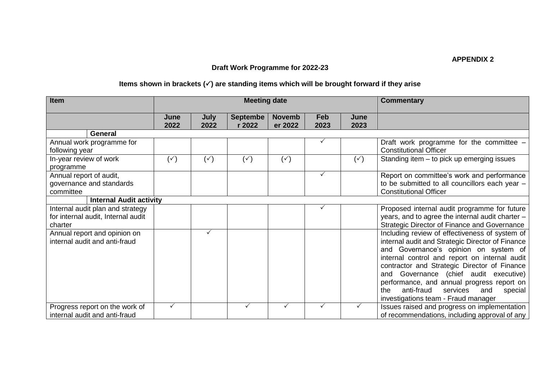# **Draft Work Programme for 2022-23**

# **Items shown in brackets () are standing items which will be brought forward if they arise**

| <b>Item</b>                                                                       | <b>Meeting date</b> |                     |                           |                          |             |                | <b>Commentary</b>                                                                                                                                                                                                                                                                                                                                                                                                              |
|-----------------------------------------------------------------------------------|---------------------|---------------------|---------------------------|--------------------------|-------------|----------------|--------------------------------------------------------------------------------------------------------------------------------------------------------------------------------------------------------------------------------------------------------------------------------------------------------------------------------------------------------------------------------------------------------------------------------|
|                                                                                   | June<br>2022        | <b>July</b><br>2022 | <b>Septembe</b><br>r 2022 | <b>Novemb</b><br>er 2022 | Feb<br>2023 | June<br>2023   |                                                                                                                                                                                                                                                                                                                                                                                                                                |
| General                                                                           |                     |                     |                           |                          |             |                |                                                                                                                                                                                                                                                                                                                                                                                                                                |
| Annual work programme for<br>following year                                       |                     |                     |                           |                          |             |                | Draft work programme for the committee -<br><b>Constitutional Officer</b>                                                                                                                                                                                                                                                                                                                                                      |
| In-year review of work<br>programme                                               | $(\check{ }')$      | $(\checkmark)$      | $(\check{ }')$            | $(\check{ }')$           |             | $(\check{ }')$ | Standing item - to pick up emerging issues                                                                                                                                                                                                                                                                                                                                                                                     |
| Annual report of audit,<br>governance and standards<br>committee                  |                     |                     |                           |                          | ✓           |                | Report on committee's work and performance<br>to be submitted to all councillors each year -<br><b>Constitutional Officer</b>                                                                                                                                                                                                                                                                                                  |
| <b>Internal Audit activity</b>                                                    |                     |                     |                           |                          |             |                |                                                                                                                                                                                                                                                                                                                                                                                                                                |
| Internal audit plan and strategy<br>for internal audit, Internal audit<br>charter |                     |                     |                           |                          |             |                | Proposed internal audit programme for future<br>years, and to agree the internal audit charter -<br>Strategic Director of Finance and Governance                                                                                                                                                                                                                                                                               |
| Annual report and opinion on<br>internal audit and anti-fraud                     |                     | ✓                   |                           |                          |             |                | Including review of effectiveness of system of<br>internal audit and Strategic Director of Finance<br>and Governance's opinion on system of<br>internal control and report on internal audit<br>contractor and Strategic Director of Finance<br>and Governance (chief audit executive)<br>performance, and annual progress report on<br>anti-fraud<br>the<br>services<br>and<br>special<br>investigations team - Fraud manager |
| Progress report on the work of<br>internal audit and anti-fraud                   | ✓                   |                     | ✓                         | ✓                        |             | $\checkmark$   | Issues raised and progress on implementation<br>of recommendations, including approval of any                                                                                                                                                                                                                                                                                                                                  |

**APPENDIX 2**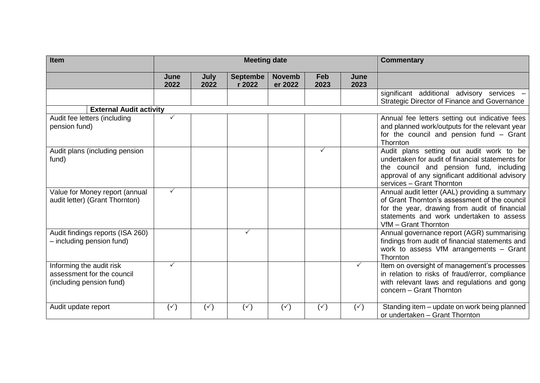| <b>Item</b>                                                                        | <b>Meeting date</b> |                |                           |                          |                |                | <b>Commentary</b>                                                                                                                                                                                                       |
|------------------------------------------------------------------------------------|---------------------|----------------|---------------------------|--------------------------|----------------|----------------|-------------------------------------------------------------------------------------------------------------------------------------------------------------------------------------------------------------------------|
|                                                                                    | June<br>2022        | July<br>2022   | <b>Septembe</b><br>r 2022 | <b>Novemb</b><br>er 2022 | Feb<br>2023    | June<br>2023   |                                                                                                                                                                                                                         |
|                                                                                    |                     |                |                           |                          |                |                | significant additional advisory services -<br>Strategic Director of Finance and Governance                                                                                                                              |
| <b>External Audit activity</b>                                                     |                     |                |                           |                          |                |                |                                                                                                                                                                                                                         |
| Audit fee letters (including<br>pension fund)                                      | ✓                   |                |                           |                          |                |                | Annual fee letters setting out indicative fees<br>and planned work/outputs for the relevant year<br>for the council and pension fund - Grant<br>Thornton                                                                |
| Audit plans (including pension<br>fund)                                            |                     |                |                           |                          | $\checkmark$   |                | Audit plans setting out audit work to be<br>undertaken for audit of financial statements for<br>the council and pension fund, including<br>approval of any significant additional advisory<br>services - Grant Thornton |
| Value for Money report (annual<br>audit letter) (Grant Thornton)                   | $\checkmark$        |                |                           |                          |                |                | Annual audit letter (AAL) providing a summary<br>of Grant Thornton's assessment of the council<br>for the year, drawing from audit of financial<br>statements and work undertaken to assess<br>VfM - Grant Thornton     |
| Audit findings reports (ISA 260)<br>- including pension fund)                      |                     |                | ✓                         |                          |                |                | Annual governance report (AGR) summarising<br>findings from audit of financial statements and<br>work to assess VfM arrangements - Grant<br>Thornton                                                                    |
| Informing the audit risk<br>assessment for the council<br>(including pension fund) | ✓                   |                |                           |                          |                | $\checkmark$   | Item on oversight of management's processes<br>in relation to risks of fraud/error, compliance<br>with relevant laws and regulations and gong<br>concern - Grant Thornton                                               |
| Audit update report                                                                | $(\check{ }')$      | $(\check{ }')$ | $(\check{ }')$            | $(\check{ }')$           | $(\check{ }')$ | $(\check{ }')$ | Standing item - update on work being planned<br>or undertaken - Grant Thornton                                                                                                                                          |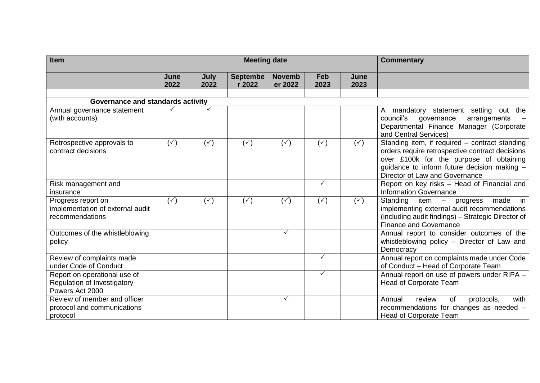| Item                                                                           |                |                | <b>Meeting date</b>       | <b>Commentary</b>        |                |                |                                                                                                                                                                                                                               |
|--------------------------------------------------------------------------------|----------------|----------------|---------------------------|--------------------------|----------------|----------------|-------------------------------------------------------------------------------------------------------------------------------------------------------------------------------------------------------------------------------|
|                                                                                | June<br>2022   | July<br>2022   | <b>Septembe</b><br>r 2022 | <b>Novemb</b><br>er 2022 | Feb<br>2023    | June<br>2023   |                                                                                                                                                                                                                               |
|                                                                                |                |                |                           |                          |                |                |                                                                                                                                                                                                                               |
| Governance and standards activity                                              |                |                |                           |                          |                |                |                                                                                                                                                                                                                               |
| Annual governance statement<br>(with accounts)                                 | $\checkmark$   | ✓              |                           |                          |                |                | A mandatory statement setting out the<br>council's<br>arrangements<br>governance<br>Departmental Finance Manager (Corporate<br>and Central Services)                                                                          |
| Retrospective approvals to<br>contract decisions                               | $(\check{ }')$ | $(\check{ }')$ | $(\check{ }')$            | $(\check{ }')$           | $(\check{ }')$ | $(\check{ }')$ | Standing item, if required - contract standing<br>orders require retrospective contract decisions<br>over £100k for the purpose of obtaining<br>guidance to inform future decision making -<br>Director of Law and Governance |
| Risk management and<br>insurance                                               |                |                |                           |                          | $\checkmark$   |                | Report on key risks - Head of Financial and<br><b>Information Governance</b>                                                                                                                                                  |
| Progress report on<br>implementation of external audit<br>recommendations      | $(\check{ }')$ | $(\check{ }')$ | $(\check{ }')$            | $(\check{ }')$           | $(\check{ }')$ | $(\check{ }')$ | Standing<br>made<br><i>in</i><br>$item - progress$<br>implementing external audit recommendations<br>(including audit findings) - Strategic Director of<br><b>Finance and Governance</b>                                      |
| Outcomes of the whistleblowing<br>policy                                       |                |                |                           | ✓                        |                |                | Annual report to consider outcomes of the<br>whistleblowing policy - Director of Law and<br>Democracy                                                                                                                         |
| Review of complaints made<br>under Code of Conduct                             |                |                |                           |                          | ✓              |                | Annual report on complaints made under Code<br>of Conduct - Head of Corporate Team                                                                                                                                            |
| Report on operational use of<br>Regulation of Investigatory<br>Powers Act 2000 |                |                |                           |                          | $\checkmark$   |                | Annual report on use of powers under RIPA -<br><b>Head of Corporate Team</b>                                                                                                                                                  |
| Review of member and officer<br>protocol and communications<br>protocol        |                |                |                           | ✓                        |                |                | with<br>Annual<br>review<br>protocols,<br>of<br>recommendations for changes as needed -<br><b>Head of Corporate Team</b>                                                                                                      |